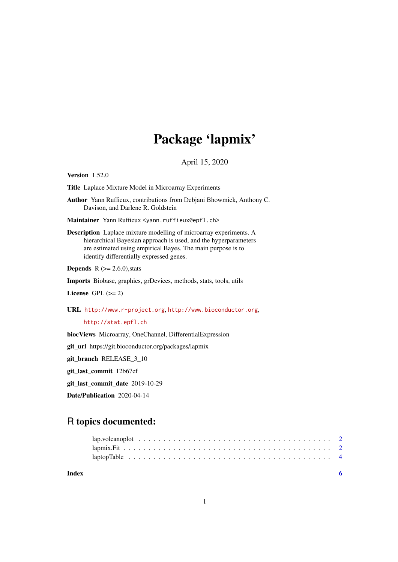## Package 'lapmix'

April 15, 2020

Version 1.52.0

Title Laplace Mixture Model in Microarray Experiments

Author Yann Ruffieux, contributions from Debjani Bhowmick, Anthony C. Davison, and Darlene R. Goldstein

Maintainer Yann Ruffieux <yann.ruffieux@epfl.ch>

Description Laplace mixture modelling of microarray experiments. A hierarchical Bayesian approach is used, and the hyperparameters are estimated using empirical Bayes. The main purpose is to identify differentially expressed genes.

**Depends** R  $(>= 2.6.0)$ , stats

Imports Biobase, graphics, grDevices, methods, stats, tools, utils

License GPL  $(>= 2)$ 

URL <http://www.r-project.org>, <http://www.bioconductor.org>,

<http://stat.epfl.ch>

biocViews Microarray, OneChannel, DifferentialExpression

git\_url https://git.bioconductor.org/packages/lapmix

git\_branch RELEASE\_3\_10

git\_last\_commit 12b67ef

git\_last\_commit\_date 2019-10-29

Date/Publication 2020-04-14

## R topics documented:

**Index** [6](#page-5-0) **6**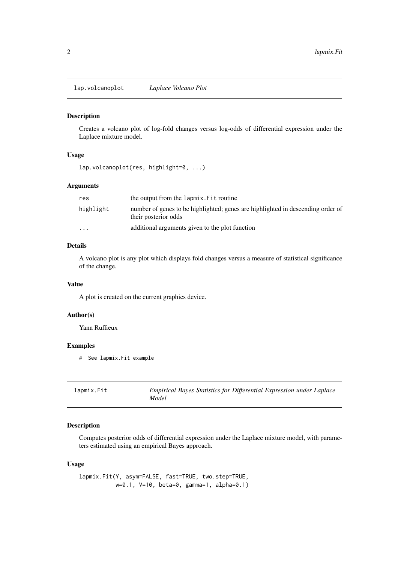<span id="page-1-0"></span>lap.volcanoplot *Laplace Volcano Plot*

#### Description

Creates a volcano plot of log-fold changes versus log-odds of differential expression under the Laplace mixture model.

#### Usage

```
lap.volcanoplot(res, highlight=0, ...)
```
#### Arguments

| res       | the output from the lapmix. Fit routine                                                                 |
|-----------|---------------------------------------------------------------------------------------------------------|
| highlight | number of genes to be highlighted; genes are highlighted in descending order of<br>their posterior odds |
| $\cdots$  | additional arguments given to the plot function                                                         |

#### Details

A volcano plot is any plot which displays fold changes versus a measure of statistical significance of the change.

#### Value

A plot is created on the current graphics device.

#### Author(s)

Yann Ruffieux

#### Examples

# See lapmix.Fit example

| lapmix.Fit | Empirical Bayes Statistics for Differential Expression under Laplace |
|------------|----------------------------------------------------------------------|
|            | Model                                                                |

#### Description

Computes posterior odds of differential expression under the Laplace mixture model, with parameters estimated using an empirical Bayes approach.

#### Usage

lapmix.Fit(Y, asym=FALSE, fast=TRUE, two.step=TRUE, w=0.1, V=10, beta=0, gamma=1, alpha=0.1)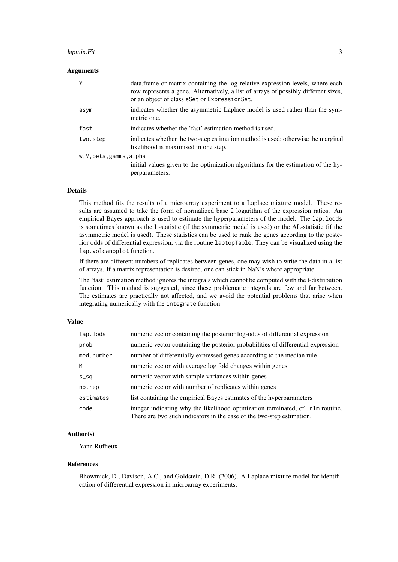#### lapmix.Fit 3

#### Arguments

| Υ                        | data. frame or matrix containing the log relative expression levels, where each<br>row represents a gene. Alternatively, a list of arrays of possibly different sizes,<br>or an object of class eSet or Expression Set. |
|--------------------------|-------------------------------------------------------------------------------------------------------------------------------------------------------------------------------------------------------------------------|
| asym                     | indicates whether the asymmetric Laplace model is used rather than the sym-<br>metric one.                                                                                                                              |
| fast                     | indicates whether the 'fast' estimation method is used.                                                                                                                                                                 |
| two.step                 | indicates whether the two-step estimation method is used; otherwise the marginal<br>likelihood is maximised in one step.                                                                                                |
| w, V, beta, gamma, alpha |                                                                                                                                                                                                                         |
|                          | initial values given to the optimization algorithms for the estimation of the hy-<br>perparameters.                                                                                                                     |

#### Details

This method fits the results of a microarray experiment to a Laplace mixture model. These results are assumed to take the form of normalized base 2 logarithm of the expression ratios. An empirical Bayes approach is used to estimate the hyperparameters of the model. The lap.lodds is sometimes known as the L-statistic (if the symmetric model is used) or the AL-statistic (if the asymmetric model is used). These statistics can be used to rank the genes according to the posterior odds of differential expression, via the routine laptopTable. They can be visualized using the lap.volcanoplot function.

If there are different numbers of replicates between genes, one may wish to write the data in a list of arrays. If a matrix representation is desired, one can stick in NaN's where appropriate.

The 'fast' estimation method ignores the integrals which cannot be computed with the t-distribution function. This method is suggested, since these problematic integrals are few and far between. The estimates are practically not affected, and we avoid the potential problems that arise when integrating numerically with the integrate function.

#### Value

| lap.lods   | numeric vector containing the posterior log-odds of differential expression                                                                             |
|------------|---------------------------------------------------------------------------------------------------------------------------------------------------------|
| prob       | numeric vector containing the posterior probabilities of differential expression                                                                        |
| med.number | number of differentially expressed genes according to the median rule                                                                                   |
| M          | numeric vector with average log fold changes within genes                                                                                               |
| $S_S$      | numeric vector with sample variances within genes                                                                                                       |
| nb.rep     | numeric vector with number of replicates within genes                                                                                                   |
| estimates  | list containing the empirical Bayes estimates of the hyperparameters                                                                                    |
| code       | integer indicating why the likelihood optmization terminated, cf. nlm routine.<br>There are two such indicators in the case of the two-step estimation. |

#### Author(s)

Yann Ruffieux

#### References

Bhowmick, D., Davison, A.C., and Goldstein, D.R. (2006). A Laplace mixture model for identification of differential expression in microarray experiments.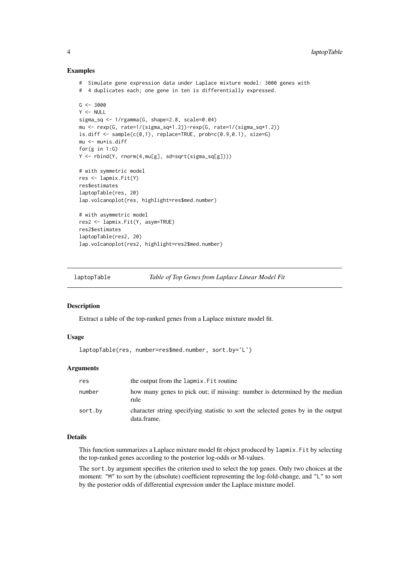#### Examples

```
# Simulate gene expression data under Laplace mixture model: 3000 genes with
# 4 duplicates each; one gene in ten is differentially expressed.
G <- 3000
Y < - NULL
sigma_sq <- 1/rgamma(G, shape=2.8, scale=0.04)
mu <- rexp(G, rate=1/(sigma_sq*1.2))-rexp(G, rate=1/(sigma_sq*1.2))
is.diff \leq sample(c(0,1), replace=TRUE, prob=c(0.9,0.1), size=G)
mu <- mu*is.diff
for(g in 1:G)
Y <- rbind(Y, rnorm(4,mu[g], sd=sqrt(sigma_sq[g])))
# with symmetric model
res <- lapmix.Fit(Y)
res$estimates
laptopTable(res, 20)
lap.volcanoplot(res, highlight=res$med.number)
# with asymmetric model
res2 <- lapmix.Fit(Y, asym=TRUE)
res2$estimates
laptopTable(res2, 20)
lap.volcanoplot(res2, highlight=res2$med.number)
```
laptopTable *Table of Top Genes from Laplace Linear Model Fit*

#### Description

Extract a table of the top-ranked genes from a Laplace mixture model fit.

#### Usage

```
laptopTable(res, number=res$med.number, sort.by='L')
```
#### Arguments

| res     | the output from the lapmix. Fit routine                                                          |
|---------|--------------------------------------------------------------------------------------------------|
| number  | how many genes to pick out; if missing: number is determined by the median<br>rule               |
| sort.by | character string specifying statistic to sort the selected genes by in the output<br>data.frame. |

#### Details

This function summarizes a Laplace mixture model fit object produced by lapmix.Fit by selecting the top-ranked genes according to the posterior log-odds or M-values.

The sort.by argument specifies the criterion used to select the top genes. Only two choices at the moment: "M" to sort by the (absolute) coefficient representing the log-fold-change, and "L" to sort by the posterior odds of differential expression under the Laplace mixture model.

<span id="page-3-0"></span>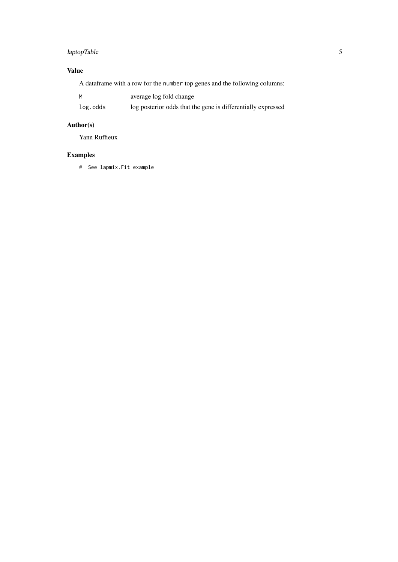## laptopTable 5

### Value

A dataframe with a row for the number top genes and the following columns:

| M        | average log fold change                                      |
|----------|--------------------------------------------------------------|
| log.odds | log posterior odds that the gene is differentially expressed |

## Author(s)

Yann Ruffieux

## Examples

# See lapmix.Fit example